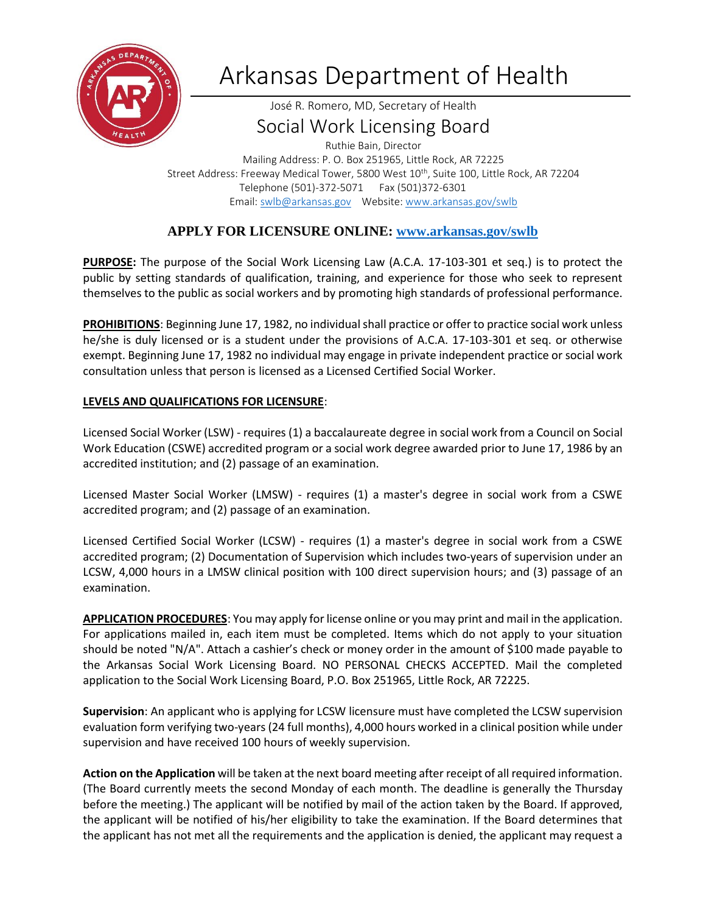

# Arkansas Department of Health

José R. Romero, MD, Secretary of Health

# Social Work Licensing Board

Ruthie Bain, Director Mailing Address: P. O. Box 251965, Little Rock, AR 72225 Street Address: Freeway Medical Tower, 5800 West 10<sup>th</sup>, Suite 100, Little Rock, AR 72204 Telephone (501)-372-5071 Fax (501)372-6301 Email: [swlb@arkansas.gov](mailto:swlb@arkansas.gov) Website: [www.arkansas.gov/swlb](https://www.healthy.arkansas.gov/programs-services/topics/arkansas-social-work-licensing-board)

## **APPLY FOR LICENSURE ONLINE: [www.arkansas.gov/swlb](https://www.healthy.arkansas.gov/programs-services/topics/arkansas-social-work-licensing-board)**

**PURPOSE:** The purpose of the Social Work Licensing Law (A.C.A. 17-103-301 et seq.) is to protect the public by setting standards of qualification, training, and experience for those who seek to represent themselves to the public as social workers and by promoting high standards of professional performance.

**PROHIBITIONS**: Beginning June 17, 1982, no individual shall practice or offer to practice social work unless he/she is duly licensed or is a student under the provisions of A.C.A. 17-103-301 et seq. or otherwise exempt. Beginning June 17, 1982 no individual may engage in private independent practice or social work consultation unless that person is licensed as a Licensed Certified Social Worker.

### **LEVELS AND QUALIFICATIONS FOR LICENSURE**:

Licensed Social Worker (LSW) - requires (1) a baccalaureate degree in social work from a Council on Social Work Education (CSWE) accredited program or a social work degree awarded prior to June 17, 1986 by an accredited institution; and (2) passage of an examination.

Licensed Master Social Worker (LMSW) - requires (1) a master's degree in social work from a CSWE accredited program; and (2) passage of an examination.

Licensed Certified Social Worker (LCSW) - requires (1) a master's degree in social work from a CSWE accredited program; (2) Documentation of Supervision which includes two-years of supervision under an LCSW, 4,000 hours in a LMSW clinical position with 100 direct supervision hours; and (3) passage of an examination.

**APPLICATION PROCEDURES**: You may apply for license online or you may print and mail in the application. For applications mailed in, each item must be completed. Items which do not apply to your situation should be noted "N/A". Attach a cashier's check or money order in the amount of \$100 made payable to the Arkansas Social Work Licensing Board. NO PERSONAL CHECKS ACCEPTED. Mail the completed application to the Social Work Licensing Board, P.O. Box 251965, Little Rock, AR 72225.

**Supervision**: An applicant who is applying for LCSW licensure must have completed the LCSW supervision evaluation form verifying two-years (24 full months), 4,000 hours worked in a clinical position while under supervision and have received 100 hours of weekly supervision.

**Action on the Application** will be taken at the next board meeting after receipt of all required information. (The Board currently meets the second Monday of each month. The deadline is generally the Thursday before the meeting.) The applicant will be notified by mail of the action taken by the Board. If approved, the applicant will be notified of his/her eligibility to take the examination. If the Board determines that the applicant has not met all the requirements and the application is denied, the applicant may request a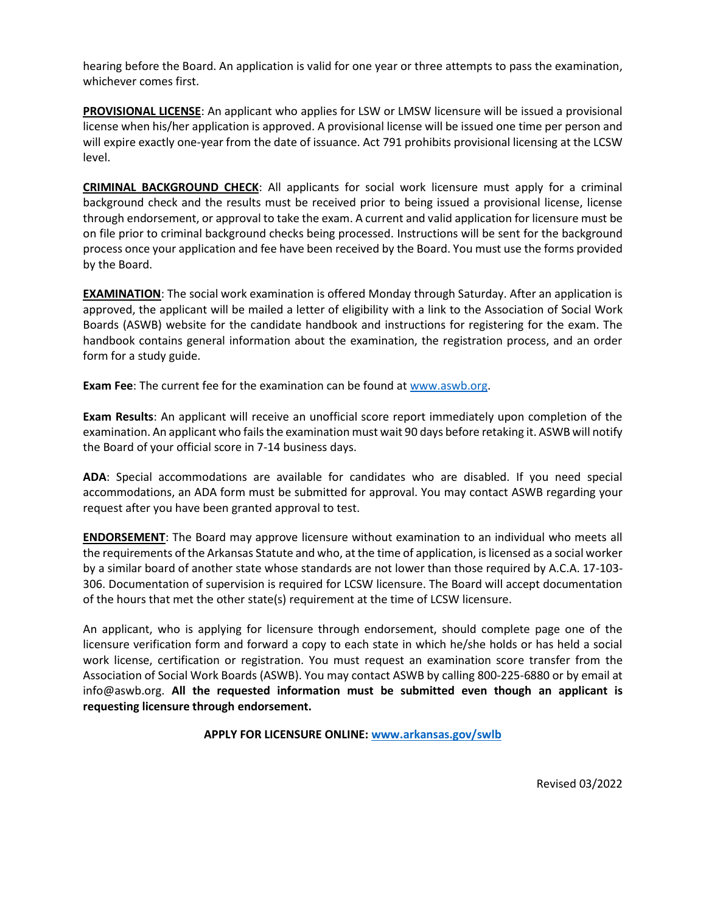hearing before the Board. An application is valid for one year or three attempts to pass the examination, whichever comes first.

**PROVISIONAL LICENSE**: An applicant who applies for LSW or LMSW licensure will be issued a provisional license when his/her application is approved. A provisional license will be issued one time per person and will expire exactly one-year from the date of issuance. Act 791 prohibits provisional licensing at the LCSW level.

**CRIMINAL BACKGROUND CHECK**: All applicants for social work licensure must apply for a criminal background check and the results must be received prior to being issued a provisional license, license through endorsement, or approval to take the exam. A current and valid application for licensure must be on file prior to criminal background checks being processed. Instructions will be sent for the background process once your application and fee have been received by the Board. You must use the forms provided by the Board.

**EXAMINATION**: The social work examination is offered Monday through Saturday. After an application is approved, the applicant will be mailed a letter of eligibility with a link to the Association of Social Work Boards (ASWB) website for the candidate handbook and instructions for registering for the exam. The handbook contains general information about the examination, the registration process, and an order form for a study guide.

**Exam Fee**: The current fee for the examination can be found a[t www.aswb.org.](http://www.aswb.org/)

**Exam Results**: An applicant will receive an unofficial score report immediately upon completion of the examination. An applicant who fails the examination must wait 90 days before retaking it. ASWB will notify the Board of your official score in 7-14 business days.

**ADA**: Special accommodations are available for candidates who are disabled. If you need special accommodations, an ADA form must be submitted for approval. You may contact ASWB regarding your request after you have been granted approval to test.

**ENDORSEMENT**: The Board may approve licensure without examination to an individual who meets all the requirements of the Arkansas Statute and who, at the time of application, is licensed as a social worker by a similar board of another state whose standards are not lower than those required by A.C.A. 17-103- 306. Documentation of supervision is required for LCSW licensure. The Board will accept documentation of the hours that met the other state(s) requirement at the time of LCSW licensure.

An applicant, who is applying for licensure through endorsement, should complete page one of the licensure verification form and forward a copy to each state in which he/she holds or has held a social work license, certification or registration. You must request an examination score transfer from the Association of Social Work Boards (ASWB). You may contact ASWB by calling 800-225-6880 or by email at info@aswb.org. **All the requested information must be submitted even though an applicant is requesting licensure through endorsement.** 

**APPLY FOR LICENSURE ONLINE: [www.arkansas.gov/swlb](https://www.healthy.arkansas.gov/programs-services/topics/arkansas-social-work-licensing-board)**

Revised 03/2022